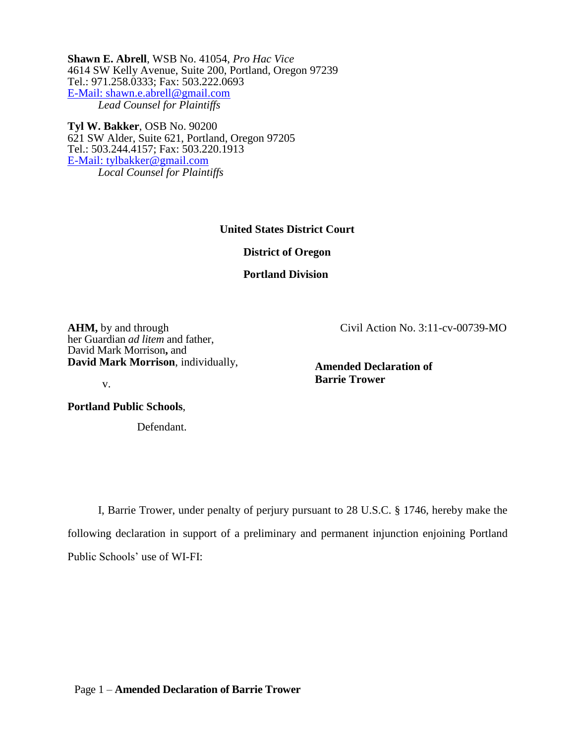**Shawn E. Abrell**, WSB No. 41054, *Pro Hac Vice* 4614 SW Kelly Avenue, Suite 200, Portland, Oregon 97239 Tel.: 971.258.0333; Fax: 503.222.0693 [E-Mail: shawn.e.abrell@gmail.com](mailto:shawn.e.abrell@gmail.com) *Lead Counsel for Plaintiffs*

**Tyl W. Bakker**, OSB No. 90200 621 SW Alder, Suite 621, Portland, Oregon 97205 Tel.: 503.244.4157; Fax: 503.220.1913 [E-Mail: tylbakker@gmail.com](mailto:tylbakker@gmail.com) *Local Counsel for Plaintiffs*

**United States District Court** 

**District of Oregon** 

**Portland Division**

**AHM,** by and through her Guardian *ad litem* and father, David Mark Morrison**,** and **David Mark Morrison**, individually, Civil Action No. 3:11-cv-00739-MO

**Amended Declaration of Barrie Trower**

v.

**Portland Public Schools**,

Defendant.

I, Barrie Trower, under penalty of perjury pursuant to 28 U.S.C. § 1746, hereby make the following declaration in support of a preliminary and permanent injunction enjoining Portland Public Schools' use of WI-FI: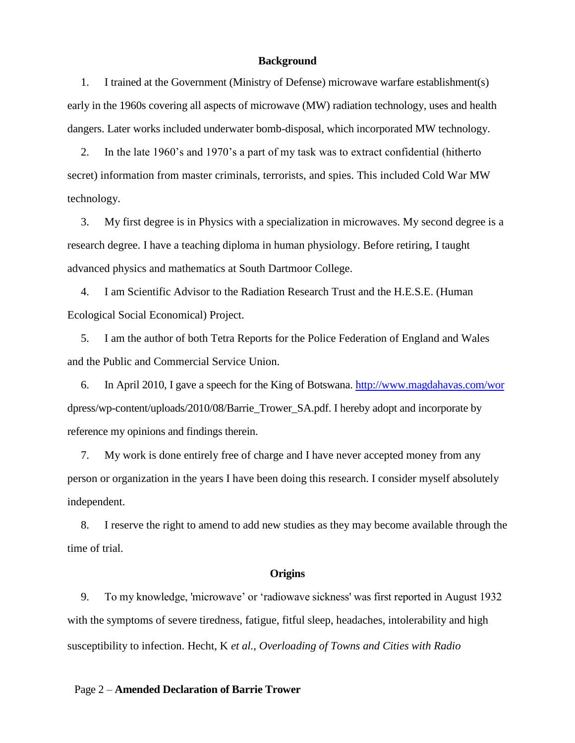#### **Background**

1. I trained at the Government (Ministry of Defense) microwave warfare establishment(s) early in the 1960s covering all aspects of microwave (MW) radiation technology, uses and health dangers. Later works included underwater bomb-disposal, which incorporated MW technology.

2. In the late 1960's and 1970's a part of my task was to extract confidential (hitherto secret) information from master criminals, terrorists, and spies. This included Cold War MW technology.

3. My first degree is in Physics with a specialization in microwaves. My second degree is a research degree. I have a teaching diploma in human physiology. Before retiring, I taught advanced physics and mathematics at South Dartmoor College.

4. I am Scientific Advisor to the Radiation Research Trust and the H.E.S.E. (Human Ecological Social Economical) Project.

5. I am the author of both Tetra Reports for the Police Federation of England and Wales and the Public and Commercial Service Union.

6. In April 2010, I gave a speech for the King of Botswana.<http://www.magdahavas.com/wor> dpress/wp-content/uploads/2010/08/Barrie\_Trower\_SA.pdf. I hereby adopt and incorporate by reference my opinions and findings therein.

7. My work is done entirely free of charge and I have never accepted money from any person or organization in the years I have been doing this research. I consider myself absolutely independent.

8. I reserve the right to amend to add new studies as they may become available through the time of trial.

### **Origins**

9. To my knowledge, 'microwave' or 'radiowave sickness' was first reported in August 1932 with the symptoms of severe tiredness, fatigue, fitful sleep, headaches, intolerability and high susceptibility to infection. Hecht, K *et al.*, *Overloading of Towns and Cities with Radio*

#### Page 2 – **Amended Declaration of Barrie Trower**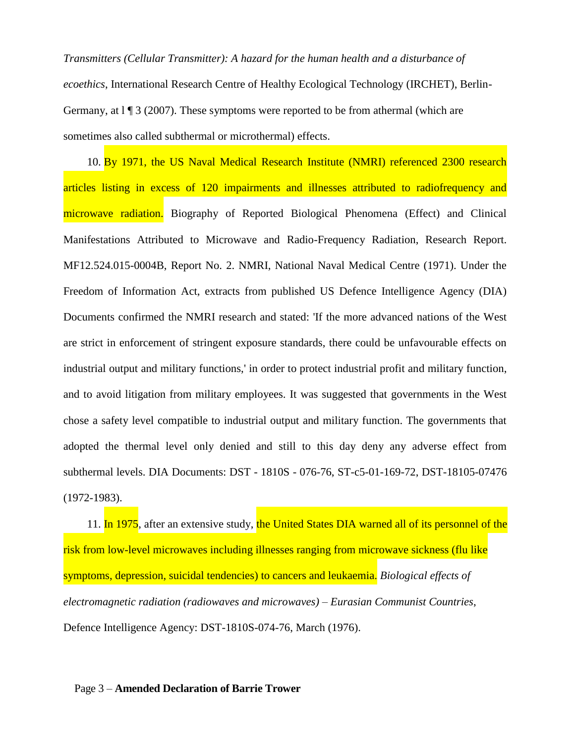*Transmitters (Cellular Transmitter): A hazard for the human health and a disturbance of ecoethics*, International Research Centre of Healthy Ecological Technology (IRCHET), Berlin-Germany, at  $1 \nvert 3$  (2007). These symptoms were reported to be from athermal (which are sometimes also called subthermal or microthermal) effects.

10. By 1971, the US Naval Medical Research Institute (NMRI) referenced 2300 research articles listing in excess of 120 impairments and illnesses attributed to radiofrequency and microwave radiation. Biography of Reported Biological Phenomena (Effect) and Clinical Manifestations Attributed to Microwave and Radio-Frequency Radiation, Research Report. MF12.524.015-0004B, Report No. 2. NMRI, National Naval Medical Centre (1971). Under the Freedom of Information Act, extracts from published US Defence Intelligence Agency (DIA) Documents confirmed the NMRI research and stated: 'If the more advanced nations of the West are strict in enforcement of stringent exposure standards, there could be unfavourable effects on industrial output and military functions,' in order to protect industrial profit and military function, and to avoid litigation from military employees. It was suggested that governments in the West chose a safety level compatible to industrial output and military function. The governments that adopted the thermal level only denied and still to this day deny any adverse effect from subthermal levels. DIA Documents: DST - 1810S - 076-76, ST-c5-01-169-72, DST-18105-07476 (1972-1983).

11. In 1975, after an extensive study, the United States DIA warned all of its personnel of the risk from low-level microwaves including illnesses ranging from microwave sickness (flu like symptoms, depression, suicidal tendencies) to cancers and leukaemia. *Biological effects of electromagnetic radiation (radiowaves and microwaves) – Eurasian Communist Countries*, Defence Intelligence Agency: DST-1810S-074-76, March (1976).

#### Page 3 – **Amended Declaration of Barrie Trower**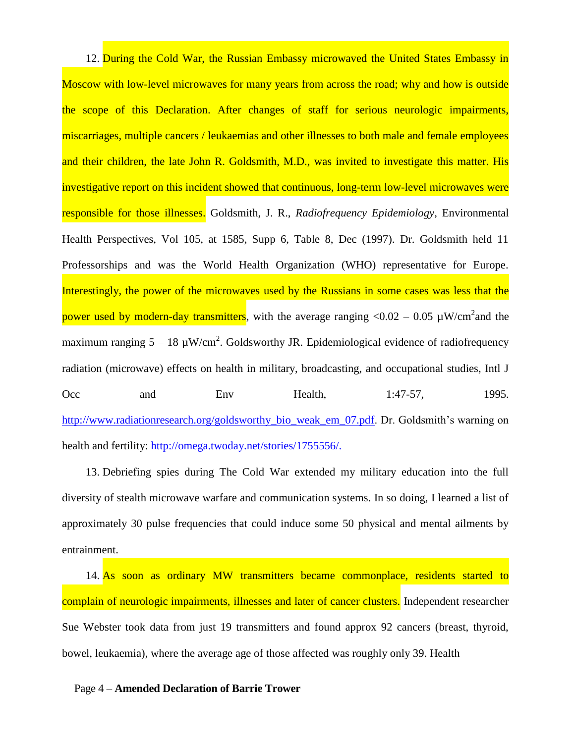12. During the Cold War, the Russian Embassy microwaved the United States Embassy in Moscow with low-level microwaves for many years from across the road; why and how is outside the scope of this Declaration. After changes of staff for serious neurologic impairments, miscarriages, multiple cancers / leukaemias and other illnesses to both male and female employees and their children, the late John R. Goldsmith, M.D., was invited to investigate this matter. His investigative report on this incident showed that continuous, long-term low-level microwaves were responsible for those illnesses. Goldsmith, J. R., *Radiofrequency Epidemiology*, Environmental Health Perspectives, Vol 105, at 1585, Supp 6, Table 8, Dec (1997). Dr. Goldsmith held 11 Professorships and was the World Health Organization (WHO) representative for Europe. Interestingly, the power of the microwaves used by the Russians in some cases was less that the power used by modern-day transmitters, with the average ranging  $<$ 0.02 – 0.05  $\mu$ W/cm<sup>2</sup> and the maximum ranging  $5 - 18 \mu W/cm^2$ . Goldsworthy JR. Epidemiological evidence of radiofrequency radiation (microwave) effects on health in military, broadcasting, and occupational studies, Intl J Occ and Env Health, 1:47-57, 1995. [http://www.radiationresearch.org/goldsworthy\\_bio\\_weak\\_em\\_07.pdf.](http://www.radiationresearch.org/goldsworthy_bio_weak_em_07.pdf) Dr. Goldsmith's warning on health and fertility: [http://omega.twoday.net/stories/1755556/.](http://omega.twoday.net/stories/1755556/)

13. Debriefing spies during The Cold War extended my military education into the full diversity of stealth microwave warfare and communication systems. In so doing, I learned a list of approximately 30 pulse frequencies that could induce some 50 physical and mental ailments by entrainment.

14. As soon as ordinary MW transmitters became commonplace, residents started to complain of neurologic impairments, illnesses and later of cancer clusters. Independent researcher Sue Webster took data from just 19 transmitters and found approx 92 cancers (breast, thyroid, bowel, leukaemia), where the average age of those affected was roughly only 39. Health

Page 4 – **Amended Declaration of Barrie Trower**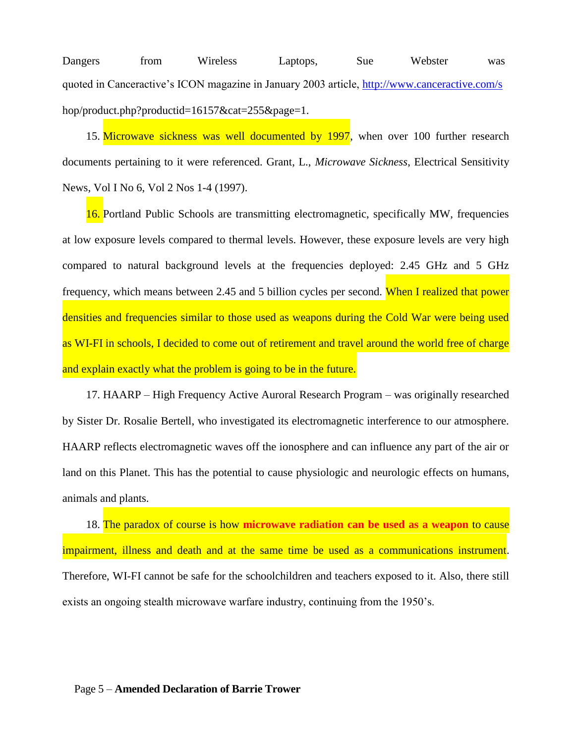Dangers from Wireless Laptops, Sue Webster was quoted in Canceractive's ICON magazine in January 2003 article,<http://www.canceractive.com/s> hop/product.php?productid=16157&cat=255&page=1.

15. Microwave sickness was well documented by 1997, when over 100 further research documents pertaining to it were referenced. Grant, L., *Microwave Sickness*, Electrical Sensitivity News, Vol I No 6, Vol 2 Nos 1-4 (1997).

16. Portland Public Schools are transmitting electromagnetic, specifically MW, frequencies at low exposure levels compared to thermal levels. However, these exposure levels are very high compared to natural background levels at the frequencies deployed: 2.45 GHz and 5 GHz frequency, which means between 2.45 and 5 billion cycles per second. When I realized that power densities and frequencies similar to those used as weapons during the Cold War were being used as WI-FI in schools, I decided to come out of retirement and travel around the world free of charge and explain exactly what the problem is going to be in the future.

17. HAARP – High Frequency Active Auroral Research Program – was originally researched by Sister Dr. Rosalie Bertell, who investigated its electromagnetic interference to our atmosphere. HAARP reflects electromagnetic waves off the ionosphere and can influence any part of the air or land on this Planet. This has the potential to cause physiologic and neurologic effects on humans, animals and plants.

18. The paradox of course is how **microwave radiation can be used as a weapon** to cause impairment, illness and death and at the same time be used as a communications instrument. Therefore, WI-FI cannot be safe for the schoolchildren and teachers exposed to it. Also, there still exists an ongoing stealth microwave warfare industry, continuing from the 1950's.

#### Page 5 – **Amended Declaration of Barrie Trower**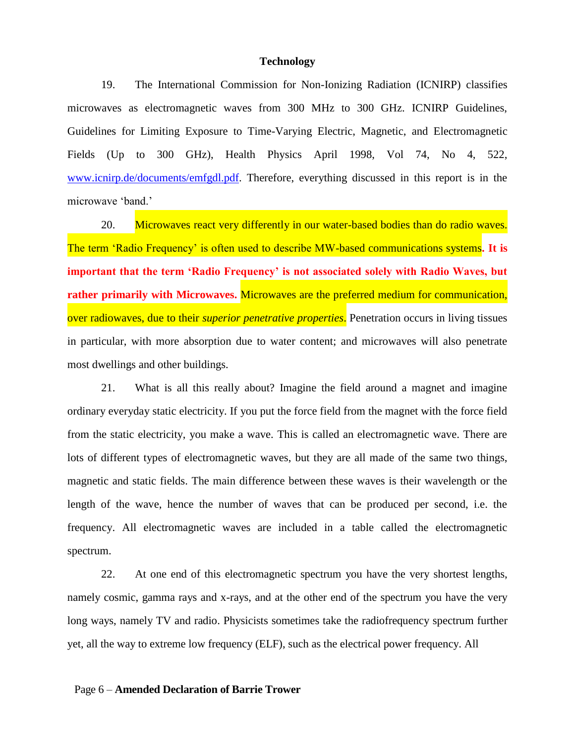#### **Technology**

19. The International Commission for Non-Ionizing Radiation (ICNIRP) classifies microwaves as electromagnetic waves from 300 MHz to 300 GHz. ICNIRP Guidelines, Guidelines for Limiting Exposure to Time-Varying Electric, Magnetic, and Electromagnetic Fields (Up to 300 GHz), Health Physics April 1998, Vol 74, No 4, 522, [www.icnirp.de/documents/emfgdl.pdf.](http://www.icnirp.de/documents/emfgdl.pdf) Therefore, everything discussed in this report is in the microwave 'band.'

20. Microwaves react very differently in our water-based bodies than do radio waves. The term 'Radio Frequency' is often used to describe MW-based communications systems**. It is important that the term 'Radio Frequency' is not associated solely with Radio Waves, but rather primarily with Microwaves.** Microwaves are the preferred medium for communication, over radiowaves, due to their *superior penetrative properties*. Penetration occurs in living tissues in particular, with more absorption due to water content; and microwaves will also penetrate most dwellings and other buildings.

21. What is all this really about? Imagine the field around a magnet and imagine ordinary everyday static electricity. If you put the force field from the magnet with the force field from the static electricity, you make a wave. This is called an electromagnetic wave. There are lots of different types of electromagnetic waves, but they are all made of the same two things, magnetic and static fields. The main difference between these waves is their wavelength or the length of the wave, hence the number of waves that can be produced per second, i.e. the frequency. All electromagnetic waves are included in a table called the electromagnetic spectrum.

22. At one end of this electromagnetic spectrum you have the very shortest lengths, namely cosmic, gamma rays and x-rays, and at the other end of the spectrum you have the very long ways, namely TV and radio. Physicists sometimes take the radiofrequency spectrum further yet, all the way to extreme low frequency (ELF), such as the electrical power frequency. All

#### Page 6 – **Amended Declaration of Barrie Trower**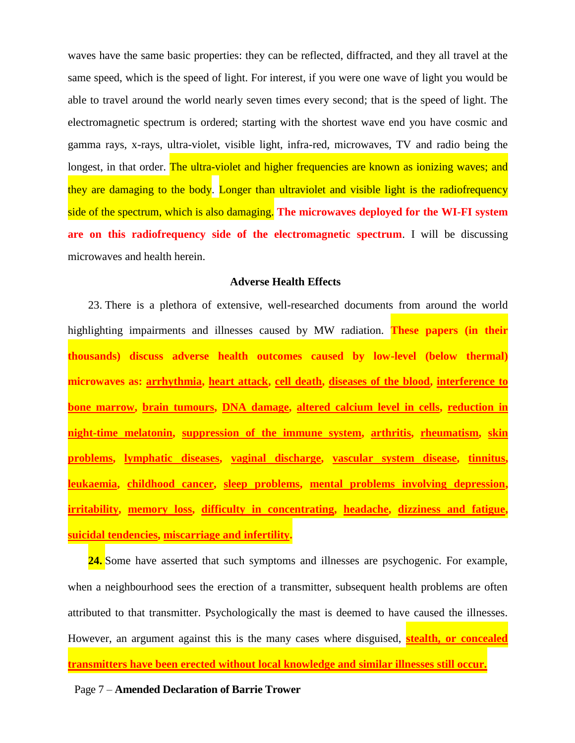waves have the same basic properties: they can be reflected, diffracted, and they all travel at the same speed, which is the speed of light. For interest, if you were one wave of light you would be able to travel around the world nearly seven times every second; that is the speed of light. The electromagnetic spectrum is ordered; starting with the shortest wave end you have cosmic and gamma rays, x-rays, ultra-violet, visible light, infra-red, microwaves, TV and radio being the longest, in that order. The ultra-violet and higher frequencies are known as ionizing waves; and they are damaging to the body. Longer than ultraviolet and visible light is the radiofrequency side of the spectrum, which is also damaging. **The microwaves deployed for the WI-FI system are on this radiofrequency side of the electromagnetic spectrum**. I will be discussing microwaves and health herein.

#### **Adverse Health Effects**

23. There is a plethora of extensive, well-researched documents from around the world highlighting impairments and illnesses caused by MW radiation. **These papers (in their thousands) discuss adverse health outcomes caused by low-level (below thermal) microwaves as: arrhythmia, heart attack, cell death, diseases of the blood, interference to bone marrow, brain tumours, DNA damage, altered calcium level in cells, reduction in night-time melatonin, suppression of the immune system, arthritis, rheumatism, skin problems, lymphatic diseases, vaginal discharge, vascular system disease, tinnitus, leukaemia, childhood cancer, sleep problems, mental problems involving depression, irritability, memory loss, difficulty in concentrating, headache, dizziness and fatigue, suicidal tendencies, miscarriage and infertility.**

24. Some have asserted that such symptoms and illnesses are psychogenic. For example, when a neighbourhood sees the erection of a transmitter, subsequent health problems are often attributed to that transmitter. Psychologically the mast is deemed to have caused the illnesses. However, an argument against this is the many cases where disguised, **stealth, or concealed transmitters have been erected without local knowledge and similar illnesses still occur.**

Page 7 – **Amended Declaration of Barrie Trower**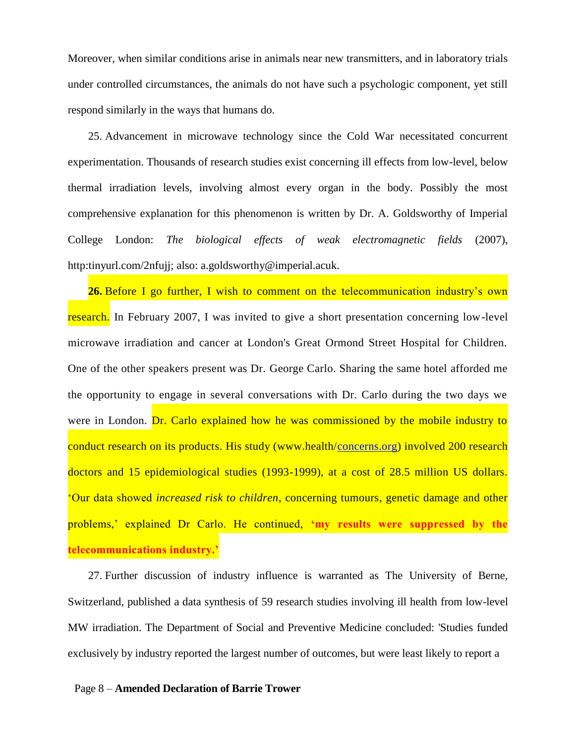Moreover, when similar conditions arise in animals near new transmitters, and in laboratory trials under controlled circumstances, the animals do not have such a psychologic component, yet still respond similarly in the ways that humans do.

25. Advancement in microwave technology since the Cold War necessitated concurrent experimentation. Thousands of research studies exist concerning ill effects from low-level, below thermal irradiation levels, involving almost every organ in the body. Possibly the most comprehensive explanation for this phenomenon is written by Dr. A. Goldsworthy of Imperial College London: *The biological effects of weak electromagnetic fields* (2007), http:tinyurl.com/2nfujj; also: a.goldsworthy@imperial.acuk.

**26.** Before I go further, I wish to comment on the telecommunication industry's own research. In February 2007, I was invited to give a short presentation concerning low-level microwave irradiation and cancer at London's Great Ormond Street Hospital for Children. One of the other speakers present was Dr. George Carlo. Sharing the same hotel afforded me the opportunity to engage in several conversations with Dr. Carlo during the two days we were in London. Dr. Carlo explained how he was commissioned by the mobile industry to conduct research on its products. His study (www.health[/concerns.org\)](http://concerns.org/) involved 200 research doctors and 15 epidemiological studies (1993-1999), at a cost of 28.5 million US dollars. 'Our data showed *increased risk to children*, concerning tumours, genetic damage and other problems,' explained Dr Carlo. He continued, **'my results were suppressed by the telecommunications industry.'**

27. Further discussion of industry influence is warranted as The University of Berne, Switzerland, published a data synthesis of 59 research studies involving ill health from low-level MW irradiation. The Department of Social and Preventive Medicine concluded: 'Studies funded exclusively by industry reported the largest number of outcomes, but were least likely to report a

#### Page 8 – **Amended Declaration of Barrie Trower**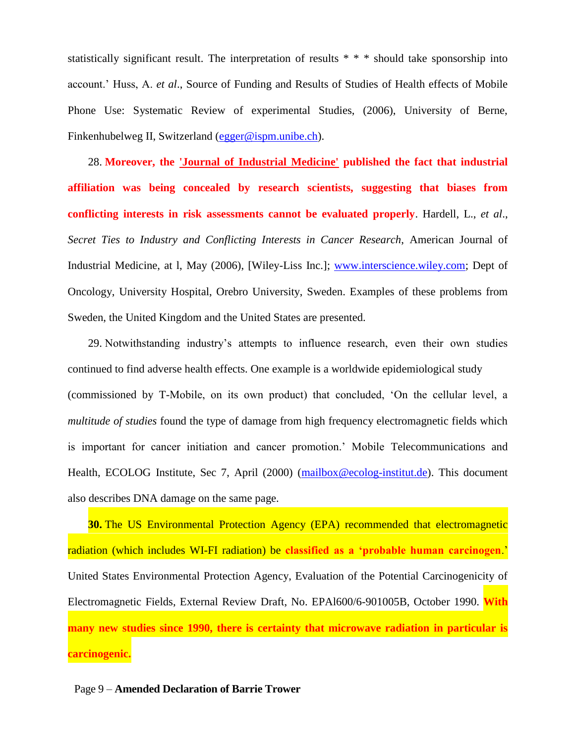statistically significant result. The interpretation of results \* \* \* should take sponsorship into account.' Huss, A. *et al*., Source of Funding and Results of Studies of Health effects of Mobile Phone Use: Systematic Review of experimental Studies, (2006), University of Berne, Finkenhubelweg II, Switzerland [\(egger@ispm.unibe.ch\)](mailto:egger@ispm.unibe.ch).

28. **Moreover, the 'Journal of Industrial Medicine' published the fact that industrial affiliation was being concealed by research scientists, suggesting that biases from conflicting interests in risk assessments cannot be evaluated properly**. Hardell, L., *et al*., *Secret Ties to Industry and Conflicting Interests in Cancer Research*, American Journal of Industrial Medicine, at l, May (2006), [Wiley-Liss Inc.]; [www.interscience.wiley.com;](http://www.interscience.wiley.com/) Dept of Oncology, University Hospital, Orebro University, Sweden. Examples of these problems from Sweden, the United Kingdom and the United States are presented.

29. Notwithstanding industry's attempts to influence research, even their own studies continued to find adverse health effects. One example is a worldwide epidemiological study (commissioned by T-Mobile, on its own product) that concluded, 'On the cellular level, a *multitude of studies* found the type of damage from high frequency electromagnetic fields which is important for cancer initiation and cancer promotion.' Mobile Telecommunications and Health, ECOLOG Institute, Sec 7, April (2000) [\(mailbox@ecolog-institut.de\)](mailto:mailbox@ecolog-institut.de). This document also describes DNA damage on the same page.

**30.** The US Environmental Protection Agency (EPA) recommended that electromagnetic radiation (which includes WI-FI radiation) be **classified as a 'probable human carcinogen**.' United States Environmental Protection Agency, Evaluation of the Potential Carcinogenicity of Electromagnetic Fields, External Review Draft, No. EPAl600/6-901005B, October 1990. **With many new studies since 1990, there is certainty that microwave radiation in particular is carcinogenic.**

## Page 9 – **Amended Declaration of Barrie Trower**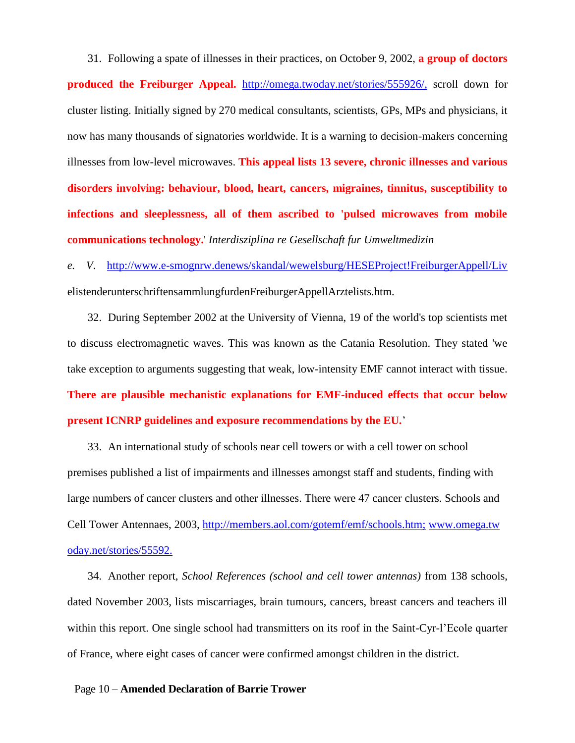31. Following a spate of illnesses in their practices, on October 9, 2002, **a group of doctors produced the Freiburger Appeal.** <http://omega.twoday.net/stories/555926/,> scroll down for cluster listing. Initially signed by 270 medical consultants, scientists, GPs, MPs and physicians, it now has many thousands of signatories worldwide. It is a warning to decision-makers concerning illnesses from low-level microwaves. **This appeal lists 13 severe, chronic illnesses and various disorders involving: behaviour, blood, heart, cancers, migraines, tinnitus, susceptibility to infections and sleeplessness, all of them ascribed to 'pulsed microwaves from mobile communications technology.**' *Interdisziplina re Gesellschaft fur Umweltmedizin*

*e. V*. <http://www.e-smognrw.denews/skandal/wewelsburg/HESEProject!FreiburgerAppell/Liv> elistenderunterschriftensammlungfurdenFreiburgerAppellArztelists.htm.

32. During September 2002 at the University of Vienna, 19 of the world's top scientists met to discuss electromagnetic waves. This was known as the Catania Resolution. They stated 'we take exception to arguments suggesting that weak, low-intensity EMF cannot interact with tissue. **There are plausible mechanistic explanations for EMF-induced effects that occur below present ICNRP guidelines and exposure recommendations by the EU.**'

33. An international study of schools near cell towers or with a cell tower on school premises published a list of impairments and illnesses amongst staff and students, finding with large numbers of cancer clusters and other illnesses. There were 47 cancer clusters. Schools and Cell Tower Antennaes, 2003,<http://members.aol.com/gotemf/emf/schools.htm;> [www.omega.tw](http://www.omega.tw/) [oday.net/stories/55592.](http://oday.net/stories/55592.)

34. Another report, *School References (school and cell tower antennas)* from 138 schools, dated November 2003, lists miscarriages, brain tumours, cancers, breast cancers and teachers ill within this report. One single school had transmitters on its roof in the Saint-Cyr-l'Ecole quarter of France, where eight cases of cancer were confirmed amongst children in the district.

Page 10 – **Amended Declaration of Barrie Trower**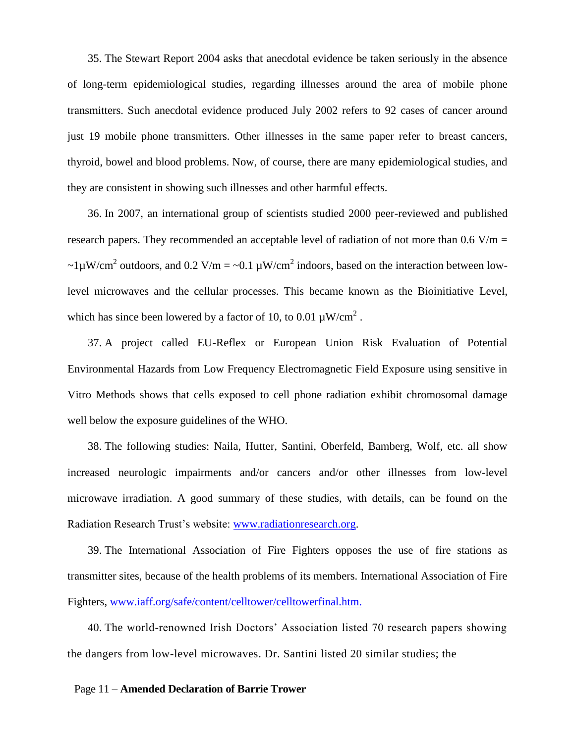35. The Stewart Report 2004 asks that anecdotal evidence be taken seriously in the absence of long-term epidemiological studies, regarding illnesses around the area of mobile phone transmitters. Such anecdotal evidence produced July 2002 refers to 92 cases of cancer around just 19 mobile phone transmitters. Other illnesses in the same paper refer to breast cancers, thyroid, bowel and blood problems. Now, of course, there are many epidemiological studies, and they are consistent in showing such illnesses and other harmful effects.

36. In 2007, an international group of scientists studied 2000 peer-reviewed and published research papers. They recommended an acceptable level of radiation of not more than  $0.6$  V/m = ~1 $\mu$ W/cm<sup>2</sup> outdoors, and 0.2 V/m = ~0.1  $\mu$ W/cm<sup>2</sup> indoors, based on the interaction between lowlevel microwaves and the cellular processes. This became known as the Bioinitiative Level, which has since been lowered by a factor of 10, to 0.01  $\mu$ W/cm<sup>2</sup>.

37. A project called EU-Reflex or European Union Risk Evaluation of Potential Environmental Hazards from Low Frequency Electromagnetic Field Exposure using sensitive in Vitro Methods shows that cells exposed to cell phone radiation exhibit chromosomal damage well below the exposure guidelines of the WHO.

38. The following studies: Naila, Hutter, Santini, Oberfeld, Bamberg, Wolf, etc. all show increased neurologic impairments and/or cancers and/or other illnesses from low-level microwave irradiation. A good summary of these studies, with details, can be found on the Radiation Research Trust's website: [www.radiationresearch.org.](http://www.radiationresearch.org/)

39. The International Association of Fire Fighters opposes the use of fire stations as transmitter sites, because of the health problems of its members. International Association of Fire Fighters, [www.iaff.org/safe/content/celltower/celltowerfinal.htm.](http://www.iaff.org/safe/content/celltower/celltowerfinal.htm.)

40. The world-renowned Irish Doctors' Association listed 70 research papers showing the dangers from low-level microwaves. Dr. Santini listed 20 similar studies; the

## Page 11 – **Amended Declaration of Barrie Trower**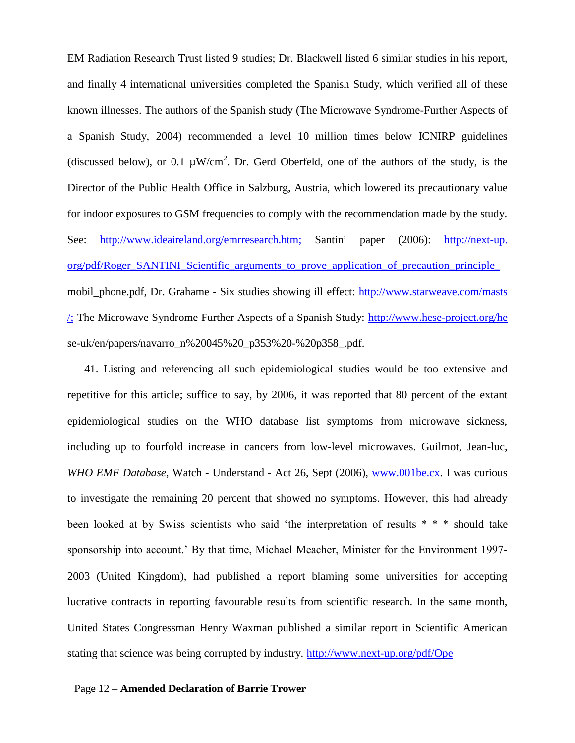EM Radiation Research Trust listed 9 studies; Dr. Blackwell listed 6 similar studies in his report, and finally 4 international universities completed the Spanish Study, which verified all of these known illnesses. The authors of the Spanish study (The Microwave Syndrome-Further Aspects of a Spanish Study, 2004) recommended a level 10 million times below ICNIRP guidelines (discussed below), or 0.1  $\mu$ W/cm<sup>2</sup>. Dr. Gerd Oberfeld, one of the authors of the study, is the Director of the Public Health Office in Salzburg, Austria, which lowered its precautionary value for indoor exposures to GSM frequencies to comply with the recommendation made by the study. See: <http://www.ideaireland.org/emrresearch.htm;> Santini paper (2006): [http://next-up.](http://next-up.org/pdf/Roger_SANTINI_Scientific_arguments_to_prove_application_of_precaution_principle_)  org/pdf/Roger\_SANTINI\_Scientific\_arguments\_to\_prove\_application\_of\_precaution\_principle mobil\_phone.pdf, Dr. Grahame - Six studies showing ill effect: [http://www.starweave.com/masts](http://www.starweave.com/masts/;)  [/;](http://www.starweave.com/masts/;) The Microwave Syndrome Further Aspects of a Spanish Study:<http://www.hese-project.org/he> se-uk/en/papers/navarro\_n%20045%20\_p353%20-%20p358\_.pdf.

41. Listing and referencing all such epidemiological studies would be too extensive and repetitive for this article; suffice to say, by 2006, it was reported that 80 percent of the extant epidemiological studies on the WHO database list symptoms from microwave sickness, including up to fourfold increase in cancers from low-level microwaves. Guilmot, Jean-luc, *WHO EMF Database*, Watch - Understand - Act 26, Sept (2006), [www.001be.cx.](http://www.001be.cx/) I was curious to investigate the remaining 20 percent that showed no symptoms. However, this had already been looked at by Swiss scientists who said 'the interpretation of results \* \* \* should take sponsorship into account.' By that time, Michael Meacher, Minister for the Environment 1997- 2003 (United Kingdom), had published a report blaming some universities for accepting lucrative contracts in reporting favourable results from scientific research. In the same month, United States Congressman Henry Waxman published a similar report in Scientific American stating that science was being corrupted by industry.<http://www.next-up.org/pdf/Ope>

#### Page 12 – **Amended Declaration of Barrie Trower**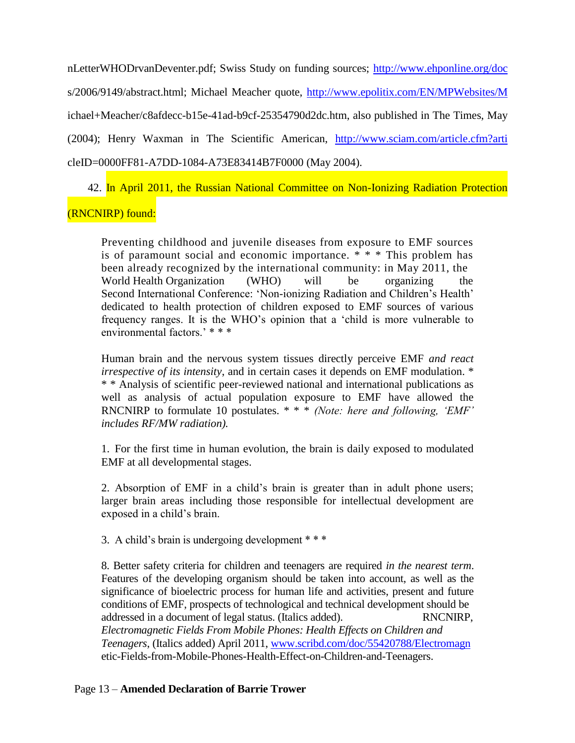nLetterWHODrvanDeventer.pdf; Swiss Study on funding sources;<http://www.ehponline.org/doc> s/2006/9149/abstract.html; Michael Meacher quote,<http://www.epolitix.com/EN/MPWebsites/M> ichael+Meacher/c8afdecc-b15e-41ad-b9cf-25354790d2dc.htm, also published in The Times, May (2004); Henry Waxman in The Scientific American, <http://www.sciam.com/article.cfm?arti> cleID=0000FF81-A7DD-1084-A73E83414B7F0000 (May 2004).

42. In April 2011, the Russian National Committee on Non-Ionizing Radiation Protection

# (RNCNIRP) found:

Preventing childhood and juvenile diseases from exposure to EMF sources is of paramount social and economic importance. \* \* \* This problem has been already recognized by the international community: in May 2011, the World Health Organization (WHO) will be organizing the Second International Conference: 'Non-ionizing Radiation and Children's Health' dedicated to health protection of children exposed to EMF sources of various frequency ranges. It is the WHO's opinion that a 'child is more vulnerable to environmental factors<sup>,</sup> \* \* \*

Human brain and the nervous system tissues directly perceive EMF *and react irrespective of its intensity*, and in certain cases it depends on EMF modulation. \* \* \* Analysis of scientific peer-reviewed national and international publications as well as analysis of actual population exposure to EMF have allowed the RNCNIRP to formulate 10 postulates. \* \* \* *(Note: here and following, 'EMF' includes RF/MW radiation).*

1. For the first time in human evolution, the brain is daily exposed to modulated EMF at all developmental stages.

2. Absorption of EMF in a child's brain is greater than in adult phone users; larger brain areas including those responsible for intellectual development are exposed in a child's brain.

3. A child's brain is undergoing development \* \* \*

8. Better safety criteria for children and teenagers are required *in the nearest term*. Features of the developing organism should be taken into account, as well as the significance of bioelectric process for human life and activities, present and future conditions of EMF, prospects of technological and technical development should be addressed in a document of legal status. (Italics added). RNCNIRP, *Electromagnetic Fields From Mobile Phones: Health Effects on Children and Teenagers*, (Italics added) April 2011, [www.scribd.com/doc/55420788/Electromagn](http://www.scribd.com/doc/55420788/Electromagn) etic-Fields-from-Mobile-Phones-Health-Effect-on-Children-and-Teenagers.

# Page 13 – **Amended Declaration of Barrie Trower**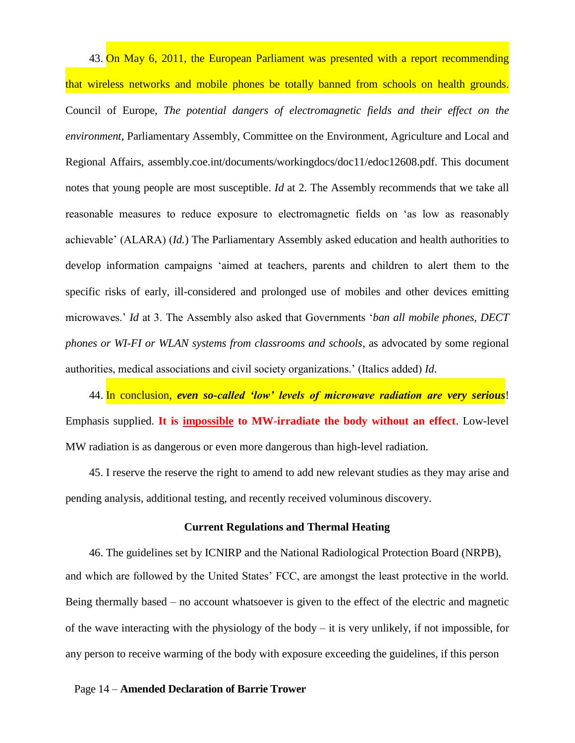43. On May 6, 2011, the European Parliament was presented with a report recommending that wireless networks and mobile phones be totally banned from schools on health grounds. Council of Europe, *The potential dangers of electromagnetic fields and their effect on the environment*, Parliamentary Assembly, Committee on the Environment, Agriculture and Local and Regional Affairs, assembly.coe.int/documents/workingdocs/doc11/edoc12608.pdf. This document notes that young people are most susceptible. *Id* at 2. The Assembly recommends that we take all reasonable measures to reduce exposure to electromagnetic fields on 'as low as reasonably achievable' (ALARA) (*Id.*) The Parliamentary Assembly asked education and health authorities to develop information campaigns 'aimed at teachers, parents and children to alert them to the specific risks of early, ill-considered and prolonged use of mobiles and other devices emitting microwaves.' *Id* at 3. The Assembly also asked that Governments '*ban all mobile phones, DECT phones or WI-FI or WLAN systems from classrooms and schools*, as advocated by some regional authorities, medical associations and civil society organizations.' (Italics added) *Id*.

44. In conclusion, *even so-called 'low' levels of microwave radiation are very serious*! Emphasis supplied. **It is impossible to MW-irradiate the body without an effect**. Low-level MW radiation is as dangerous or even more dangerous than high-level radiation.

45. I reserve the reserve the right to amend to add new relevant studies as they may arise and pending analysis, additional testing, and recently received voluminous discovery.

### **Current Regulations and Thermal Heating**

46. The guidelines set by ICNIRP and the National Radiological Protection Board (NRPB), and which are followed by the United States' FCC, are amongst the least protective in the world. Being thermally based – no account whatsoever is given to the effect of the electric and magnetic of the wave interacting with the physiology of the body – it is very unlikely, if not impossible, for any person to receive warming of the body with exposure exceeding the guidelines, if this person

## Page 14 – **Amended Declaration of Barrie Trower**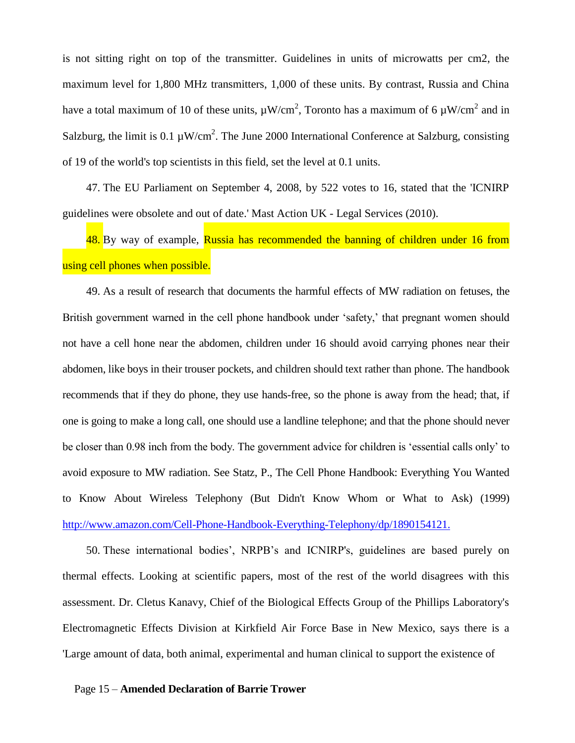is not sitting right on top of the transmitter. Guidelines in units of microwatts per cm2, the maximum level for 1,800 MHz transmitters, 1,000 of these units. By contrast, Russia and China have a total maximum of 10 of these units,  $\mu W/cm^2$ , Toronto has a maximum of 6  $\mu W/cm^2$  and in Salzburg, the limit is 0.1  $\mu$ W/cm<sup>2</sup>. The June 2000 International Conference at Salzburg, consisting of 19 of the world's top scientists in this field, set the level at 0.1 units.

47. The EU Parliament on September 4, 2008, by 522 votes to 16, stated that the 'ICNIRP guidelines were obsolete and out of date.' Mast Action UK - Legal Services (2010).

48. By way of example, Russia has recommended the banning of children under 16 from using cell phones when possible.

49. As a result of research that documents the harmful effects of MW radiation on fetuses, the British government warned in the cell phone handbook under 'safety,' that pregnant women should not have a cell hone near the abdomen, children under 16 should avoid carrying phones near their abdomen, like boys in their trouser pockets, and children should text rather than phone. The handbook recommends that if they do phone, they use hands-free, so the phone is away from the head; that, if one is going to make a long call, one should use a landline telephone; and that the phone should never be closer than 0.98 inch from the body. The government advice for children is 'essential calls only' to avoid exposure to MW radiation. See Statz, P., The Cell Phone Handbook: Everything You Wanted to Know About Wireless Telephony (But Didn't Know Whom or What to Ask) (1999) <http://www.amazon.com/Cell-Phone-Handbook-Everything-Telephony/dp/1890154121.>

50. These international bodies', NRPB's and ICNIRP's, guidelines are based purely on thermal effects. Looking at scientific papers, most of the rest of the world disagrees with this assessment. Dr. Cletus Kanavy, Chief of the Biological Effects Group of the Phillips Laboratory's Electromagnetic Effects Division at Kirkfield Air Force Base in New Mexico, says there is a 'Large amount of data, both animal, experimental and human clinical to support the existence of

#### Page 15 – **Amended Declaration of Barrie Trower**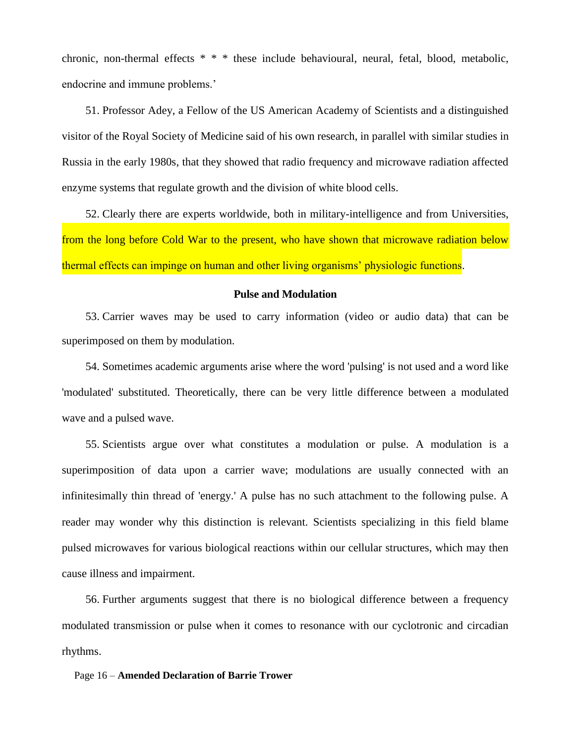chronic, non-thermal effects \* \* \* these include behavioural, neural, fetal, blood, metabolic, endocrine and immune problems.'

51. Professor Adey, a Fellow of the US American Academy of Scientists and a distinguished visitor of the Royal Society of Medicine said of his own research, in parallel with similar studies in Russia in the early 1980s, that they showed that radio frequency and microwave radiation affected enzyme systems that regulate growth and the division of white blood cells.

52. Clearly there are experts worldwide, both in military-intelligence and from Universities, from the long before Cold War to the present, who have shown that microwave radiation below thermal effects can impinge on human and other living organisms' physiologic functions.

# **Pulse and Modulation**

53. Carrier waves may be used to carry information (video or audio data) that can be superimposed on them by modulation.

54. Sometimes academic arguments arise where the word 'pulsing' is not used and a word like 'modulated' substituted. Theoretically, there can be very little difference between a modulated wave and a pulsed wave.

55. Scientists argue over what constitutes a modulation or pulse. A modulation is a superimposition of data upon a carrier wave; modulations are usually connected with an infinitesimally thin thread of 'energy.' A pulse has no such attachment to the following pulse. A reader may wonder why this distinction is relevant. Scientists specializing in this field blame pulsed microwaves for various biological reactions within our cellular structures, which may then cause illness and impairment.

56. Further arguments suggest that there is no biological difference between a frequency modulated transmission or pulse when it comes to resonance with our cyclotronic and circadian rhythms.

## Page 16 – **Amended Declaration of Barrie Trower**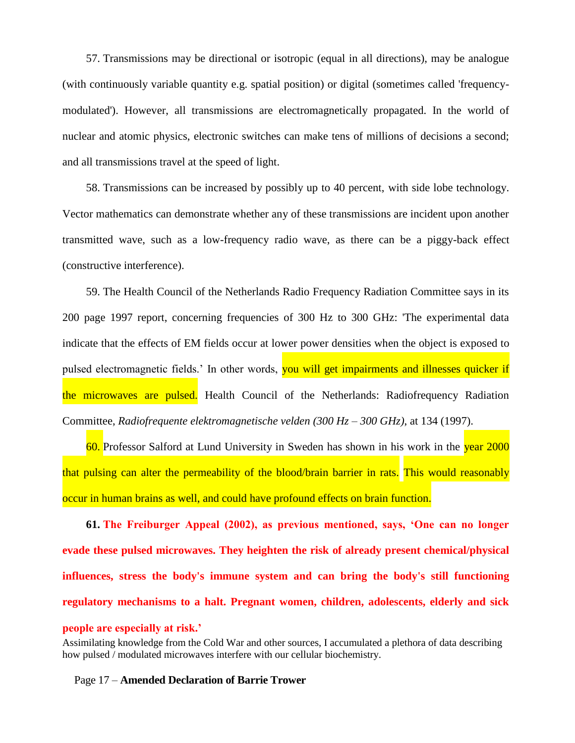57. Transmissions may be directional or isotropic (equal in all directions), may be analogue (with continuously variable quantity e.g. spatial position) or digital (sometimes called 'frequencymodulated'). However, all transmissions are electromagnetically propagated. In the world of nuclear and atomic physics, electronic switches can make tens of millions of decisions a second; and all transmissions travel at the speed of light.

58. Transmissions can be increased by possibly up to 40 percent, with side lobe technology. Vector mathematics can demonstrate whether any of these transmissions are incident upon another transmitted wave, such as a low-frequency radio wave, as there can be a piggy-back effect (constructive interference).

59. The Health Council of the Netherlands Radio Frequency Radiation Committee says in its 200 page 1997 report, concerning frequencies of 300 Hz to 300 GHz: 'The experimental data indicate that the effects of EM fields occur at lower power densities when the object is exposed to pulsed electromagnetic fields.' In other words, you will get impairments and illnesses quicker if the microwaves are pulsed. Health Council of the Netherlands: Radiofrequency Radiation Committee, *Radiofrequente elektromagnetische velden (300 Hz – 300 GHz)*, at 134 (1997).

60. Professor Salford at Lund University in Sweden has shown in his work in the year 2000 that pulsing can alter the permeability of the blood/brain barrier in rats. This would reasonably occur in human brains as well, and could have profound effects on brain function.

**61. The Freiburger Appeal (2002), as previous mentioned, says, 'One can no longer evade these pulsed microwaves. They heighten the risk of already present chemical/physical influences, stress the body's immune system and can bring the body's still functioning regulatory mechanisms to a halt. Pregnant women, children, adolescents, elderly and sick people are especially at risk.'**

Assimilating knowledge from the Cold War and other sources, I accumulated a plethora of data describing how pulsed / modulated microwaves interfere with our cellular biochemistry.

Page 17 – **Amended Declaration of Barrie Trower**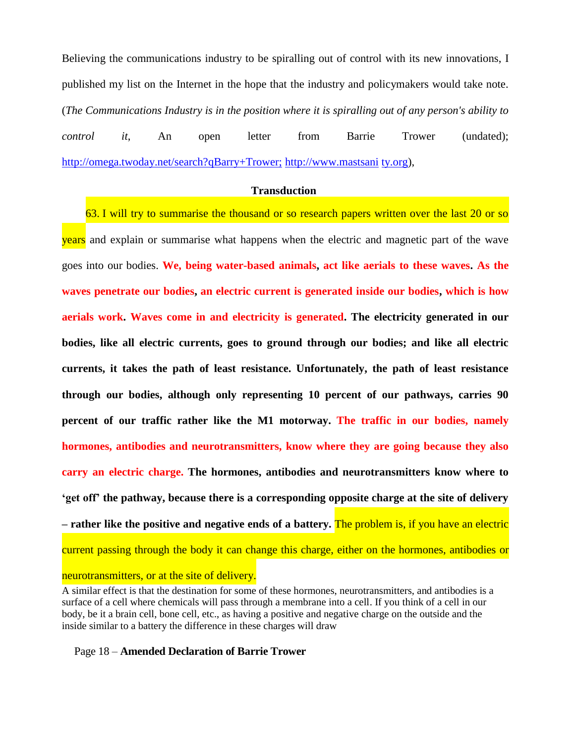Believing the communications industry to be spiralling out of control with its new innovations, I published my list on the Internet in the hope that the industry and policymakers would take note. (*The Communications Industry is in the position where it is spiralling out of any person's ability to control it*, An open letter from Barrie Trower (undated); <http://omega.twoday.net/search?qBarry+Trower;> [http://www.mastsani](http://www.mastsani/) [ty.org\)](http://ty.org/),

#### **Transduction**

63. I will try to summarise the thousand or so research papers written over the last 20 or so years and explain or summarise what happens when the electric and magnetic part of the wave goes into our bodies. **We, being water-based animals, act like aerials to these waves. As the waves penetrate our bodies, an electric current is generated inside our bodies, which is how aerials work. Waves come in and electricity is generated. The electricity generated in our bodies, like all electric currents, goes to ground through our bodies; and like all electric currents, it takes the path of least resistance. Unfortunately, the path of least resistance through our bodies, although only representing 10 percent of our pathways, carries 90 percent of our traffic rather like the M1 motorway. The traffic in our bodies, namely hormones, antibodies and neurotransmitters, know where they are going because they also carry an electric charge. The hormones, antibodies and neurotransmitters know where to 'get off' the pathway, because there is a corresponding opposite charge at the site of delivery – rather like the positive and negative ends of a battery.** The problem is, if you have an electric current passing through the body it can change this charge, either on the hormones, antibodies or neurotransmitters, or at the site of delivery.

A similar effect is that the destination for some of these hormones, neurotransmitters, and antibodies is a surface of a cell where chemicals will pass through a membrane into a cell. If you think of a cell in our body, be it a brain cell, bone cell, etc., as having a positive and negative charge on the outside and the inside similar to a battery the difference in these charges will draw

## Page 18 – **Amended Declaration of Barrie Trower**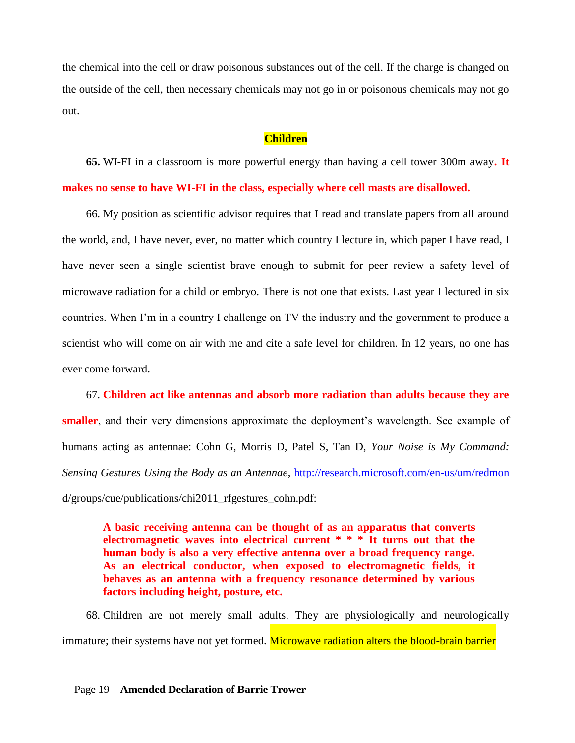the chemical into the cell or draw poisonous substances out of the cell. If the charge is changed on the outside of the cell, then necessary chemicals may not go in or poisonous chemicals may not go out.

### **Children**

**65.** WI-FI in a classroom is more powerful energy than having a cell tower 300m away**. It makes no sense to have WI-FI in the class, especially where cell masts are disallowed.**

66. My position as scientific advisor requires that I read and translate papers from all around the world, and, I have never, ever, no matter which country I lecture in, which paper I have read, I have never seen a single scientist brave enough to submit for peer review a safety level of microwave radiation for a child or embryo. There is not one that exists. Last year I lectured in six countries. When I'm in a country I challenge on TV the industry and the government to produce a scientist who will come on air with me and cite a safe level for children. In 12 years, no one has ever come forward.

67. **Children act like antennas and absorb more radiation than adults because they are smaller**, and their very dimensions approximate the deployment's wavelength. See example of humans acting as antennae: Cohn G, Morris D, Patel S, Tan D, *Your Noise is My Command: Sensing Gestures Using the Body as an Antennae*,<http://research.microsoft.com/en-us/um/redmon> d/groups/cue/publications/chi2011\_rfgestures\_cohn.pdf:

**A basic receiving antenna can be thought of as an apparatus that converts electromagnetic waves into electrical current \* \* \* It turns out that the human body is also a very effective antenna over a broad frequency range. As an electrical conductor, when exposed to electromagnetic fields, it behaves as an antenna with a frequency resonance determined by various factors including height, posture, etc.**

68. Children are not merely small adults. They are physiologically and neurologically immature; their systems have not yet formed. Microwave radiation alters the blood-brain barrier

### Page 19 – **Amended Declaration of Barrie Trower**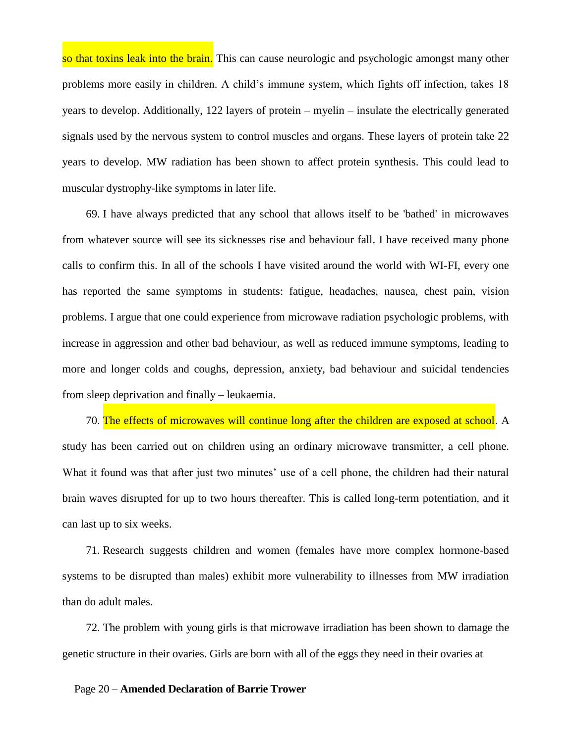so that toxins leak into the brain. This can cause neurologic and psychologic amongst many other problems more easily in children. A child's immune system, which fights off infection, takes 18 years to develop. Additionally, 122 layers of protein – myelin – insulate the electrically generated signals used by the nervous system to control muscles and organs. These layers of protein take 22 years to develop. MW radiation has been shown to affect protein synthesis. This could lead to muscular dystrophy-like symptoms in later life.

69. I have always predicted that any school that allows itself to be 'bathed' in microwaves from whatever source will see its sicknesses rise and behaviour fall. I have received many phone calls to confirm this. In all of the schools I have visited around the world with WI-FI, every one has reported the same symptoms in students: fatigue, headaches, nausea, chest pain, vision problems. I argue that one could experience from microwave radiation psychologic problems, with increase in aggression and other bad behaviour, as well as reduced immune symptoms, leading to more and longer colds and coughs, depression, anxiety, bad behaviour and suicidal tendencies from sleep deprivation and finally – leukaemia.

70. The effects of microwaves will continue long after the children are exposed at school. A study has been carried out on children using an ordinary microwave transmitter, a cell phone. What it found was that after just two minutes' use of a cell phone, the children had their natural brain waves disrupted for up to two hours thereafter. This is called long-term potentiation, and it can last up to six weeks.

71. Research suggests children and women (females have more complex hormone-based systems to be disrupted than males) exhibit more vulnerability to illnesses from MW irradiation than do adult males.

72. The problem with young girls is that microwave irradiation has been shown to damage the genetic structure in their ovaries. Girls are born with all of the eggs they need in their ovaries at

#### Page 20 – **Amended Declaration of Barrie Trower**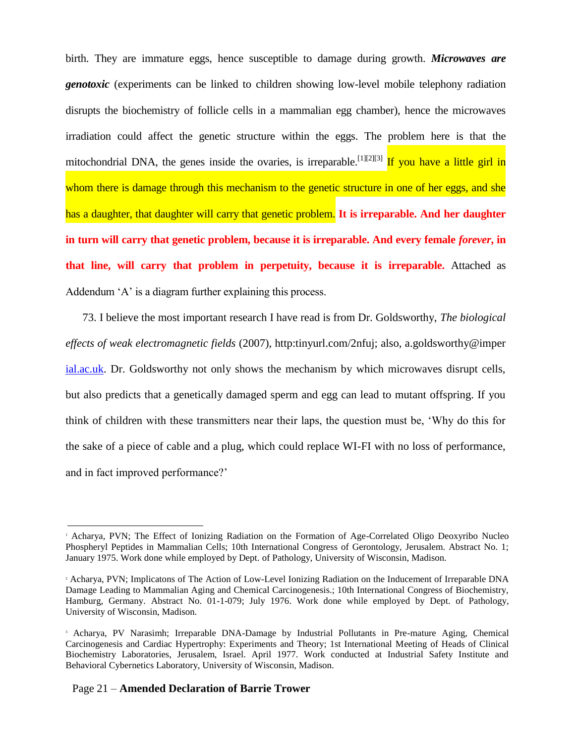birth. They are immature eggs, hence susceptible to damage during growth. *Microwaves are genotoxic* (experiments can be linked to children showing low-level mobile telephony radiation disrupts the biochemistry of follicle cells in a mammalian egg chamber), hence the microwaves irradiation could affect the genetic structure within the eggs. The problem here is that the mitochondrial DNA, the genes inside the ovaries, is irreparable.<sup>[1][2][3]</sup> If you have a little girl in whom there is damage through this mechanism to the genetic structure in one of her eggs, and she has a daughter, that daughter will carry that genetic problem. **It is irreparable. And her daughter in turn will carry that genetic problem, because it is irreparable. And every female** *forever***, in that line, will carry that problem in perpetuity, because it is irreparable.** Attached as Addendum 'A' is a diagram further explaining this process.

73. I believe the most important research I have read is from Dr. Goldsworthy, *The biological effects of weak electromagnetic fields* (2007), http:tinyurl.com/2nfuj; also, a.goldsworthy@imper [ial.ac.uk.](http://ial.ac.uk/) Dr. Goldsworthy not only shows the mechanism by which microwaves disrupt cells, but also predicts that a genetically damaged sperm and egg can lead to mutant offspring. If you think of children with these transmitters near their laps, the question must be, 'Why do this for the sake of a piece of cable and a plug, which could replace WI-FI with no loss of performance, and in fact improved performance?'

<sup>1</sup> Acharya, PVN; The Effect of Ionizing Radiation on the Formation of Age-Correlated Oligo Deoxyribo Nucleo Phospheryl Peptides in Mammalian Cells; 10th International Congress of Gerontology, Jerusalem. Abstract No. 1; January 1975. Work done while employed by Dept. of Pathology, University of Wisconsin, Madison.

<sup>2</sup> Acharya, PVN; Implicatons of The Action of Low-Level Ionizing Radiation on the Inducement of Irreparable DNA Damage Leading to Mammalian Aging and Chemical Carcinogenesis.; 10th International Congress of Biochemistry, Hamburg, Germany. Abstract No. 01-1-079; July 1976. Work done while employed by Dept. of Pathology, University of Wisconsin, Madison.

<sup>3</sup> Acharya, PV Narasimh; Irreparable DNA-Damage by Industrial Pollutants in Pre-mature Aging, Chemical Carcinogenesis and Cardiac Hypertrophy: Experiments and Theory; 1st International Meeting of Heads of Clinical Biochemistry Laboratories, Jerusalem, Israel. April 1977. Work conducted at Industrial Safety Institute and Behavioral Cybernetics Laboratory, University of Wisconsin, Madison.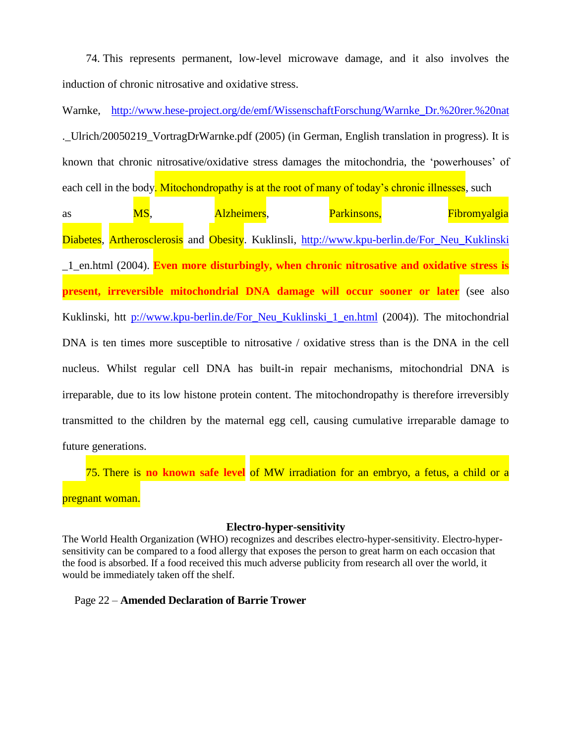74. This represents permanent, low-level microwave damage, and it also involves the induction of chronic nitrosative and oxidative stress.

Warnke, [http://www.hese-project.org/de/emf/WissenschaftForschung/Warnke\\_Dr.%20rer.%20nat](http://www.hese-project.org/de/emf/WissenschaftForschung/Warnke_Dr.%2520rer.%2520nat) .\_Ulrich/20050219\_VortragDrWarnke.pdf (2005) (in German, English translation in progress). It is known that chronic nitrosative/oxidative stress damages the mitochondria, the 'powerhouses' of each cell in the body. Mitochondropathy is at the root of many of today's chronic illnesses, such

as **MS**, **Alzheimers**, **Parkinsons**, **Fibromyalgia** Diabetes, Artherosclerosis and Obesity. Kuklinsli, http://www.kpu-berlin.de/For Neu Kuklinski \_1\_en.html (2004). **Even more disturbingly, when chronic nitrosative and oxidative stress is present, irreversible mitochondrial DNA damage will occur sooner or later** (see also Kuklinski, htt [p://www.kpu-berlin.de/For\\_Neu\\_Kuklinski\\_1\\_en.html](file:///p:/www.kpu-berlin.de/For_Neu_Kuklinski_1_en.html) (2004)). The mitochondrial DNA is ten times more susceptible to nitrosative / oxidative stress than is the DNA in the cell nucleus. Whilst regular cell DNA has built-in repair mechanisms, mitochondrial DNA is irreparable, due to its low histone protein content. The mitochondropathy is therefore irreversibly transmitted to the children by the maternal egg cell, causing cumulative irreparable damage to future generations.

75. There is **no known safe level** of MW irradiation for an embryo, a fetus, a child or a pregnant woman.

## **Electro-hyper-sensitivity**

The World Health Organization (WHO) recognizes and describes electro-hyper-sensitivity. Electro-hypersensitivity can be compared to a food allergy that exposes the person to great harm on each occasion that the food is absorbed. If a food received this much adverse publicity from research all over the world, it would be immediately taken off the shelf.

## Page 22 – **Amended Declaration of Barrie Trower**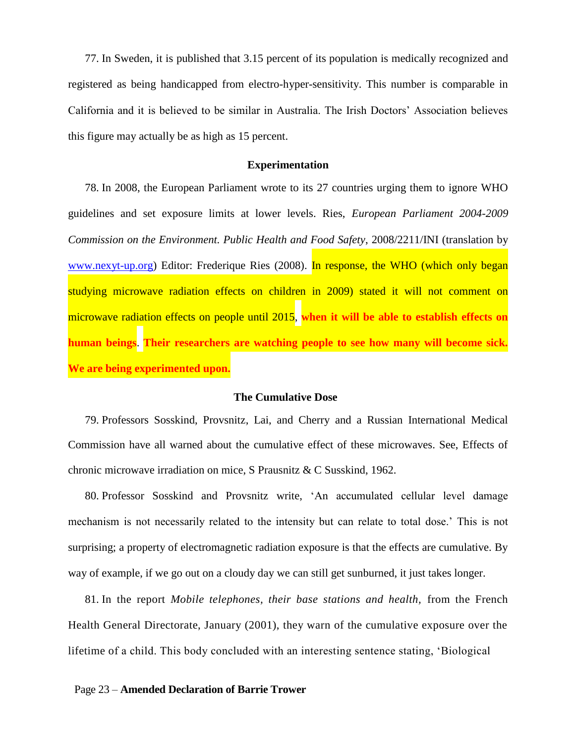77. In Sweden, it is published that 3.15 percent of its population is medically recognized and registered as being handicapped from electro-hyper-sensitivity. This number is comparable in California and it is believed to be similar in Australia. The Irish Doctors' Association believes this figure may actually be as high as 15 percent.

### **Experimentation**

78. In 2008, the European Parliament wrote to its 27 countries urging them to ignore WHO guidelines and set exposure limits at lower levels. Ries, *European Parliament 2004-2009 Commission on the Environment. Public Health and Food Safety*, 2008/2211/INI (translation by [www.nexyt-up.org\)](http://www.nexyt-up.org/) Editor: Frederique Ries (2008). In response, the WHO (which only began studying microwave radiation effects on children in 2009) stated it will not comment on microwave radiation effects on people until 2015, **when it will be able to establish effects on human beings**. **Their researchers are watching people to see how many will become sick. We are being experimented upon.**

## **The Cumulative Dose**

79. Professors Sosskind, Provsnitz, Lai, and Cherry and a Russian International Medical Commission have all warned about the cumulative effect of these microwaves. See, Effects of chronic microwave irradiation on mice, S Prausnitz & C Susskind, 1962.

80. Professor Sosskind and Provsnitz write, 'An accumulated cellular level damage mechanism is not necessarily related to the intensity but can relate to total dose.' This is not surprising; a property of electromagnetic radiation exposure is that the effects are cumulative. By way of example, if we go out on a cloudy day we can still get sunburned, it just takes longer.

81. In the report *Mobile telephones, their base stations and health,* from the French Health General Directorate, January (2001), they warn of the cumulative exposure over the lifetime of a child. This body concluded with an interesting sentence stating, 'Biological

#### Page 23 – **Amended Declaration of Barrie Trower**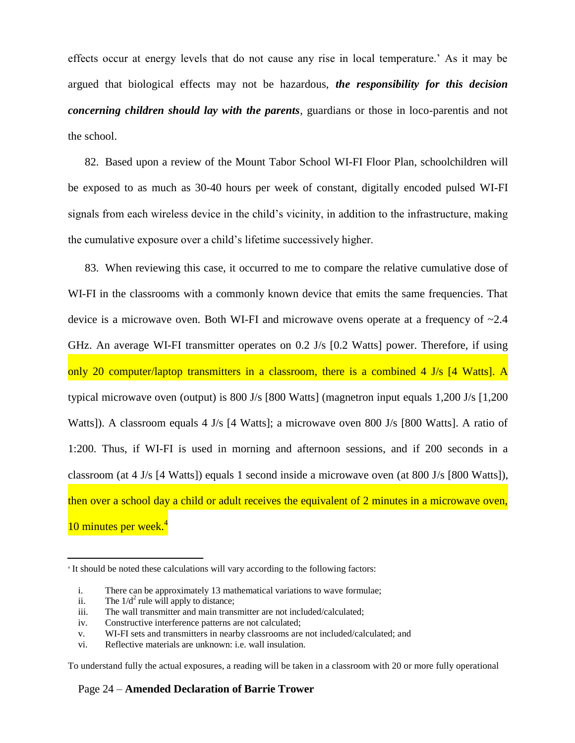effects occur at energy levels that do not cause any rise in local temperature.' As it may be argued that biological effects may not be hazardous, *the responsibility for this decision concerning children should lay with the parents*, guardians or those in loco-parentis and not the school.

82. Based upon a review of the Mount Tabor School WI-FI Floor Plan, schoolchildren will be exposed to as much as 30-40 hours per week of constant, digitally encoded pulsed WI-FI signals from each wireless device in the child's vicinity, in addition to the infrastructure, making the cumulative exposure over a child's lifetime successively higher.

83. When reviewing this case, it occurred to me to compare the relative cumulative dose of WI-FI in the classrooms with a commonly known device that emits the same frequencies. That device is a microwave oven. Both WI-FI and microwave ovens operate at a frequency of ~2.4 GHz. An average WI-FI transmitter operates on 0.2 J/s [0.2 Watts] power. Therefore, if using only 20 computer/laptop transmitters in a classroom, there is a combined 4 J/s [4 Watts]. A typical microwave oven (output) is 800 J/s [800 Watts] (magnetron input equals 1,200 J/s [1,200 Watts]). A classroom equals 4 J/s [4 Watts]; a microwave oven 800 J/s [800 Watts]. A ratio of 1:200. Thus, if WI-FI is used in morning and afternoon sessions, and if 200 seconds in a classroom (at 4 J/s [4 Watts]) equals 1 second inside a microwave oven (at 800 J/s [800 Watts]), then over a school day a child or adult receives the equivalent of 2 minutes in a microwave oven, 10 minutes per week.<sup>4</sup>

To understand fully the actual exposures, a reading will be taken in a classroom with 20 or more fully operational

## Page 24 – **Amended Declaration of Barrie Trower**

<sup>4</sup> It should be noted these calculations will vary according to the following factors:

i. There can be approximately 13 mathematical variations to wave formulae;

ii. The  $1/d^2$  rule will apply to distance;

iii. The wall transmitter and main transmitter are not included/calculated;

iv. Constructive interference patterns are not calculated;

v. WI-FI sets and transmitters in nearby classrooms are not included/calculated; and

vi. Reflective materials are unknown: i.e. wall insulation.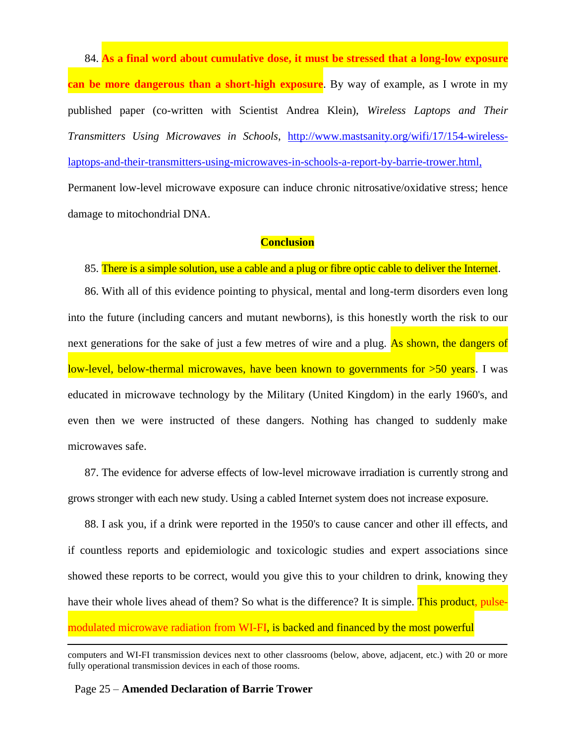84. **As a final word about cumulative dose, it must be stressed that a long-low exposure can be more dangerous than a short-high exposure**. By way of example, as I wrote in my published paper (co-written with Scientist Andrea Klein), *Wireless Laptops and Their Transmitters Using Microwaves in Schools*, [http://www.mastsanity.org/wifi/17/154-wireless](http://www.mastsanity.org/wifi/17/154-wireless-laptops-and-their-transmitters-using-microwaves-in-schools-a-report-by-barrie-trower.html,)[laptops-and-their-transmitters-using-microwaves-in-schools-a-report-by-barrie-trower.html,](http://www.mastsanity.org/wifi/17/154-wireless-laptops-and-their-transmitters-using-microwaves-in-schools-a-report-by-barrie-trower.html,) Permanent low-level microwave exposure can induce chronic nitrosative/oxidative stress; hence damage to mitochondrial DNA.

# **Conclusion**

# 85. There is a simple solution, use a cable and a plug or fibre optic cable to deliver the Internet.

86. With all of this evidence pointing to physical, mental and long-term disorders even long into the future (including cancers and mutant newborns), is this honestly worth the risk to our next generations for the sake of just a few metres of wire and a plug. As shown, the dangers of low-level, below-thermal microwaves, have been known to governments for >50 years. I was educated in microwave technology by the Military (United Kingdom) in the early 1960's, and even then we were instructed of these dangers. Nothing has changed to suddenly make microwaves safe.

87. The evidence for adverse effects of low-level microwave irradiation is currently strong and grows stronger with each new study. Using a cabled Internet system does not increase exposure.

88. I ask you, if a drink were reported in the 1950's to cause cancer and other ill effects, and if countless reports and epidemiologic and toxicologic studies and expert associations since showed these reports to be correct, would you give this to your children to drink, knowing they have their whole lives ahead of them? So what is the difference? It is simple. This product, pulsemodulated microwave radiation from WI-FI, is backed and financed by the most powerful

## Page 25 – **Amended Declaration of Barrie Trower**

computers and WI-FI transmission devices next to other classrooms (below, above, adjacent, etc.) with 20 or more fully operational transmission devices in each of those rooms.